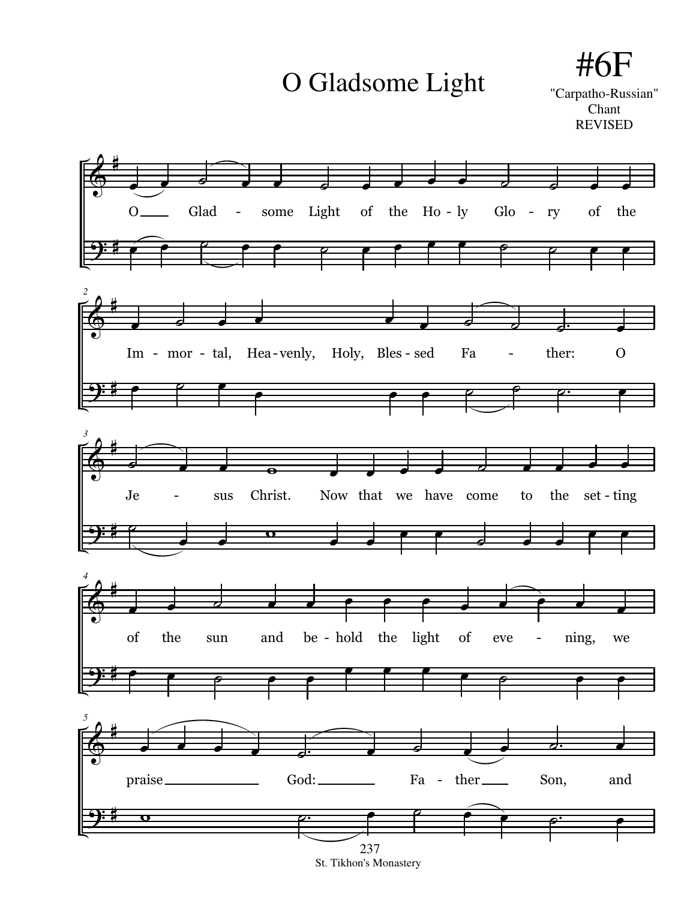O Gladsome Light

## #6 "Carpatho-Russian" Chant

**REVISED** 



St. Tikhon's Monastery